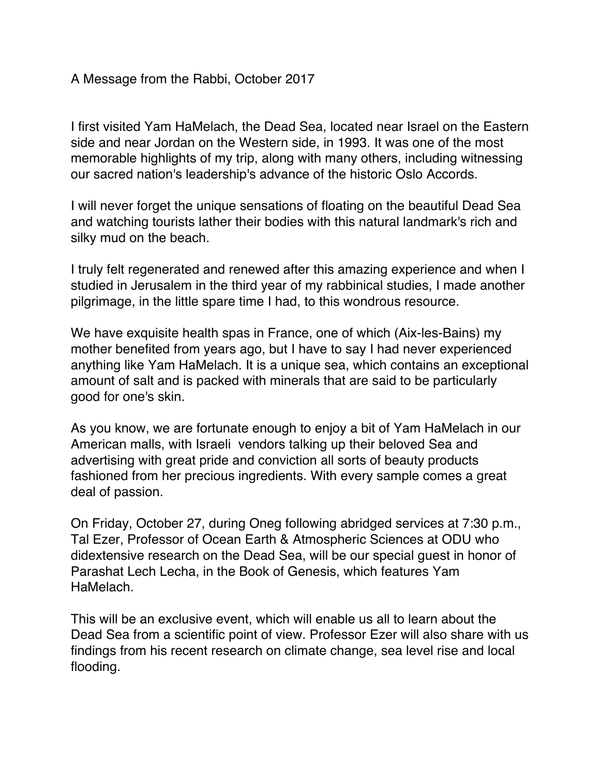A Message from the Rabbi, October 2017

I first visited Yam HaMelach, the Dead Sea, located near Israel on the Eastern side and near Jordan on the Western side, in 1993. It was one of the most memorable highlights of my trip, along with many others, including witnessing our sacred nation's leadership's advance of the historic Oslo Accords.

I will never forget the unique sensations of floating on the beautiful Dead Sea and watching tourists lather their bodies with this natural landmark's rich and silky mud on the beach.

I truly felt regenerated and renewed after this amazing experience and when I studied in Jerusalem in the third year of my rabbinical studies, I made another pilgrimage, in the little spare time I had, to this wondrous resource.

We have exquisite health spas in France, one of which (Aix-les-Bains) my mother benefited from years ago, but I have to say I had never experienced anything like Yam HaMelach. It is a unique sea, which contains an exceptional amount of salt and is packed with minerals that are said to be particularly good for one's skin.

As you know, we are fortunate enough to enjoy a bit of Yam HaMelach in our American malls, with Israeli vendors talking up their beloved Sea and advertising with great pride and conviction all sorts of beauty products fashioned from her precious ingredients. With every sample comes a great deal of passion.

On Friday, October 27, during Oneg following abridged services at 7:30 p.m., Tal Ezer, Professor of Ocean Earth & Atmospheric Sciences at ODU who didextensive research on the Dead Sea, will be our special guest in honor of Parashat Lech Lecha, in the Book of Genesis, which features Yam HaMelach.

This will be an exclusive event, which will enable us all to learn about the Dead Sea from a scientific point of view. Professor Ezer will also share with us findings from his recent research on climate change, sea level rise and local flooding.